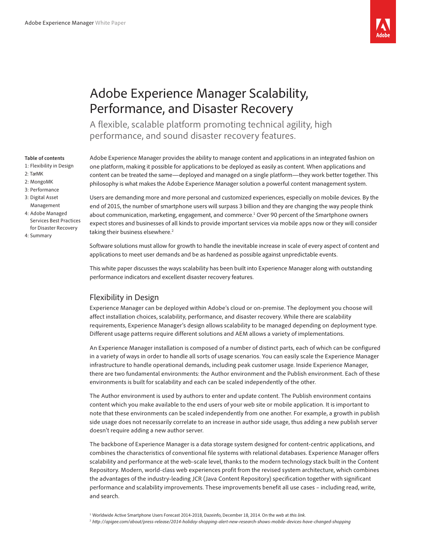

# Adobe Experience Manager Scalability, Performance, and Disaster Recovery

A flexible, scalable platform promoting technical agility, high performance, and sound disaster recovery features.

#### **Table of contents**

- 1: Flexibility in Design
- 2: [TarMK](#page-1-0)
- [2: Mongo](#page-1-0)MK
- 3: [Performance](#page-2-0)
- [3: Digital Asset](#page-2-0)  [Management](#page-2-0)
- [4: Adobe Managed](#page-3-0)  [Services Best Practices](#page-3-0)  [for Disaster Recovery](#page-3-0)
- 4: [Summary](#page-3-0)

Adobe Experience Manager provides the ability to manage content and applications in an integrated fashion on one platform, making it possible for applications to be deployed as easily as content. When applications and content can be treated the same—deployed and managed on a single platform—they work better together. This philosophy is what makes the Adobe Experience Manager solution a powerful content management system.

Users are demanding more and more personal and customized experiences, especially on mobile devices. By the end of 2015, the number of smartphone users will surpass 3 billion and they are changing the way people think about communication, marketing, engagement, and commerce.<sup>1</sup> Over 90 percent of the Smartphone owners expect stores and businesses of all kinds to provide important services via mobile apps now or they will consider taking their business elsewhere.<sup>2</sup>

Software solutions must allow for growth to handle the inevitable increase in scale of every aspect of content and applications to meet user demands and be as hardened as possible against unpredictable events.

This white paper discusses the ways scalability has been built into Experience Manager along with outstanding performance indicators and excellent disaster recovery features.

# Flexibility in Design

Experience Manager can be deployed within Adobe's cloud or on-premise. The deployment you choose will affect installation choices, scalability, performance, and disaster recovery. While there are scalability requirements, Experience Manager's design allows scalability to be managed depending on deployment type. Different usage patterns require different solutions and AEM allows a variety of implementations.

An Experience Manager installation is composed of a number of distinct parts, each of which can be configured in a variety of ways in order to handle all sorts of usage scenarios. You can easily scale the Experience Manager infrastructure to handle operational demands, including peak customer usage. Inside Experience Manager, there are two fundamental environments: the Author environment and the Publish environment. Each of these environments is built for scalability and each can be scaled independently of the other.

The Author environment is used by authors to enter and update content. The Publish environment contains content which you make available to the end users of your web site or mobile application. It is important to note that these environments can be scaled independently from one another. For example, a growth in publish side usage does not necessarily correlate to an increase in author side usage, thus adding a new publish server doesn't require adding a new author server.

The backbone of Experience Manager is a data storage system designed for content-centric applications, and combines the characteristics of conventional file systems with relational databases. Experience Manager offers scalability and performance at the web-scale level, thanks to the modern technology stack built in the Content Repository. Modern, world-class web experiences profit from the revised system architecture, which combines the advantages of the industry-leading JCR (Java Content Repository) specification together with significant performance and scalability improvements. These improvements benefit all use cases – including read, write, and search.

1 Worldwide Active Smartphone Users Forecast 2014-2018, Dazeinfo, December 18, 2014. On the web at *[this link](http://dazeinfo.com/2014/12/18/worldwide-smartphone-users-2014-2018-forecast-india-china-usa-report/)*.

2 *<http://apigee.com/about/press-release/2014-holiday-shopping-alert-new-research-shows-mobile-devices-have-changed-shopping>*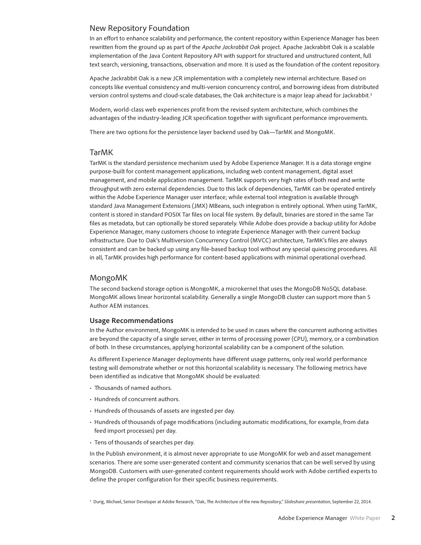## <span id="page-1-0"></span>New Repository Foundation

In an effort to enhance scalability and performance, the content repository within Experience Manager has been rewritten from the ground up as part of the *[Apache Jackrabbit Oak](http://jackrabbit.apache.org/oak/)* project. Apache Jackrabbit Oak is a scalable implementation of the Java Content Repository API with support for structured and unstructured content, full text search, versioning, transactions, observation and more. It is used as the foundation of the content repository.

Apache Jackrabbit Oak is a new JCR implementation with a completely new internal architecture. Based on concepts like eventual consistency and multi-version concurrency control, and borrowing ideas from distributed version control systems and cloud-scale databases, the Oak architecture is a major leap ahead for Jackrabbit.<sup>3</sup>

Modern, world-class web experiences profit from the revised system architecture, which combines the advantages of the industry-leading JCR specification together with significant performance improvements.

There are two options for the persistence layer backend used by Oak—TarMK and MongoMK.

### TarMK

TarMK is the standard persistence mechanism used by Adobe Experience Manager. It is a data storage engine purpose-built for content management applications, including web content management, digital asset management, and mobile application management. TarMK supports very high rates of both read and write throughput with zero external dependencies. Due to this lack of dependencies, TarMK can be operated entirely within the Adobe Experience Manager user interface; while external tool integration is available through standard Java Management Extensions (JMX) MBeans, such integration is entirely optional. When using TarMK, content is stored in standard POSIX Tar files on local file system. By default, binaries are stored in the same Tar files as metadata, but can optionally be stored separately. While Adobe does provide a backup utility for Adobe Experience Manager, many customers choose to integrate Experience Manager with their current backup infrastructure. Due to Oak's Multiversion Concurrency Control (MVCC) architecture, TarMK's files are always consistent and can be backed up using any file-based backup tool without any special quiescing procedures. All in all, TarMK provides high performance for content-based applications with minimal operational overhead.

#### MongoMK

The second backend storage option is MongoMK, a microkernel that uses the MongoDB NoSQL database. MongoMK allows linear horizontal scalability. Generally a single MongoDB cluster can support more than 5 Author AEM instances.

#### **Usage Recommendations**

In the Author environment, MongoMK is intended to be used in cases where the concurrent authoring activities are beyond the capacity of a single server, either in terms of processing power (CPU), memory, or a combination of both. In these circumstances, applying horizontal scalability can be a component of the solution.

As different Experience Manager deployments have different usage patterns, only real world performance testing will demonstrate whether or not this horizontal scalability is necessary. The following metrics have been identified as indicative that MongoMK should be evaluated:

- Thousands of named authors.
- Hundreds of concurrent authors.
- Hundreds of thousands of assets are ingested per day.
- Hundreds of thousands of page modifications (including automatic modifications, for example, from data feed import processes) per day.
- Tens of thousands of searches per day.

In the Publish environment, it is almost never appropriate to use MongoMK for web and asset management scenarios. There are some user-generated content and community scenarios that can be well served by using MongoDB. Customers with user-generated content requirements should work with Adobe certified experts to define the proper configuration for their specific business requirements.

3 Durig, Michael, Senior Developer at Adobe Research, "Oak, The Architecture of the new Repository," *[Slideshare presentation](http://www.slideshare.net/MichaelDrig/oak-39377061)*, September 22, 2014.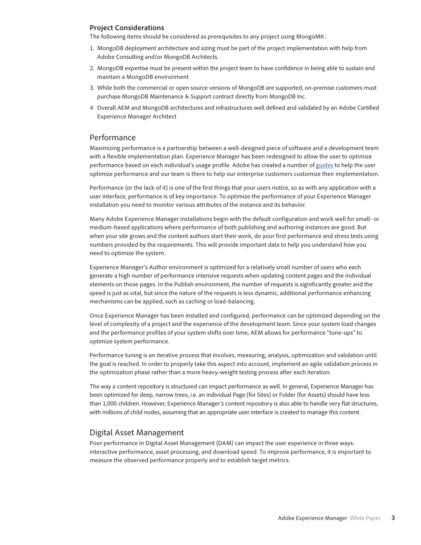#### <span id="page-2-0"></span>**Project Considerations**

The following items should be considered as prerequisites to any project using MongoMK:

- 1. MongoDB deployment architecture and sizing must be part of the project implementation with help from Adobe Consulting and/or MongoDB Architects.
- 2. MongoDB expertise must be present within the project team to have confidence in being able to sustain and maintain a MongoDB environment
- 3. While both the commercial or open source versions of MongoDB are supported, on-premise customers must purchase MongoDB Maintenance & Support contract directly from MongoDB Inc.
- 4. Overall AEM and MongoDB architectures and infrastructures well defined and validated by an Adobe Certified Experience Manager Architect

# Performance

Maximizing performance is a partnership between a well-designed piece of software and a development team with a flexible implementation plan. Experience Manager has been redesigned to allow the user to optimize performance based on each individual's usage profile. Adobe has created a number of [guides](https://helpx.adobe.com/experience-manager/kb/performance-tuning-tips.html) to help the user optimize performance and our team is there to help our enterprise customers customize their implementation.

Performance (or the lack of it) is one of the first things that your users notice, so as with any application with a user interface, performance is of key importance. To optimize the performance of your Experience Manager installation you need to monitor various attributes of the instance and its behavior.

Many Adobe Experience Manager installations begin with the default configuration and work well for small- or medium-based applications where performance of both publishing and authoring instances are good. But when your site grows and the content authors start their work, do your first performance and stress tests using numbers provided by the requirements. This will provide important data to help you understand how you need to optimize the system.

Experience Manager's Author environment is optimized for a relatively small number of users who each generate a high number of performance intensive requests when updating content pages and the individual elements on those pages. In the Publish environment, the number of requests is significantly greater and the speed is just as vital, but since the nature of the requests is less dynamic, additional performance enhancing mechanisms can be applied, such as caching or load-balancing.

Once Experience Manager has been installed and configured, performance can be optimized depending on the level of complexity of a project and the experience of the development team. Since your system load changes and the performance profiles of your system shifts over time, AEM allows for performance "tune-ups" to optimize system performance.

Performance tuning is an iterative process that involves, measuring, analysis, optimization and validation until the goal is reached. In order to properly take this aspect into account, implement an agile validation process in the optimization phase rather than a more heavy-weight testing process after each iteration.

The way a content repository is structured can impact performance as well. In general, Experience Manager has been optimized for deep, narrow trees, i.e. an individual Page (for Sites) or Folder (for Assets) should have less than 1,000 children. However, Experience Manager's content repository is also able to handle very flat structures, with millions of child nodes, assuming that an appropriate user interface is created to manage this content.

## Digital Asset Management

Poor performance in Digital Asset Management (DAM) can impact the user experience in three ways: interactive performance, asset processing, and download speed. To improve performance, it is important to measure the observed performance properly and to establish target metrics.